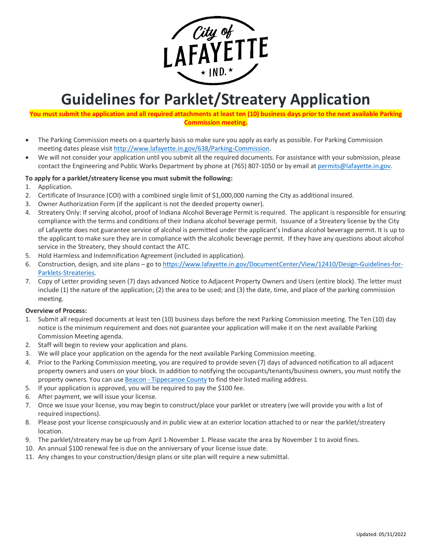

# **Guidelines for Parklet/Streatery Application**

# You must submit the application and all required attachments at least ten (10) business days prior to the next available Parking **Commission meeting.**

- The Parking Commission meets on a quarterly basis so make sure you apply as early as possible. For Parking Commission meeting dates please visit [http://www.lafayette.in.gov/638/Parking-Commission.](http://www.lafayette.in.gov/638/Parking-Commission)
- We will not consider your application until you submit all the required documents. For assistance with your submission, please contact the Engineering and Public Works Department by phone at (765) 807-1050 or by email at [permits@lafayette.in.gov.](mailto:permits@lafayette.in.gov?subject=Parklet/Streatery%20Application%20Questions)

# **To apply for a parklet/streatery license you must submit the following:**

- 1. Application.
- 2. Certificate of Insurance (COI) with a combined single limit of \$1,000,000 naming the City as additional insured.
- 3. Owner Authorization Form (if the applicant is not the deeded property owner).
- 4. Streatery Only: If serving alcohol, proof of Indiana Alcohol Beverage Permit is required. The applicant is responsible for ensuring compliance with the terms and conditions of their Indiana alcohol beverage permit. Issuance of a Streatery license by the City of Lafayette does not guarantee service of alcohol is permitted under the applicant's Indiana alcohol beverage permit. It is up to the applicant to make sure they are in compliance with the alcoholic beverage permit. If they have any questions about alcohol service in the Streatery, they should contact the ATC.
- 5. Hold Harmless and Indemnification Agreement (included in application).
- 6. Construction, design, and site plans go to [https://www.lafayette.in.gov/DocumentCenter/View/12410/Design-Guidelines-for-](https://www.lafayette.in.gov/DocumentCenter/View/12410/Design-Guidelines-for-Parklets-Streateries)[Parklets-Streateries.](https://www.lafayette.in.gov/DocumentCenter/View/12410/Design-Guidelines-for-Parklets-Streateries)
- 7. Copy of Letter providing seven (7) days advanced Notice to Adjacent Property Owners and Users (entire block). The letter must include (1) the nature of the application; (2) the area to be used; and (3) the date, time, and place of the parking commission meeting.

## **Overview of Process:**

- 1. Submit all required documents at least ten (10) business days before the next Parking Commission meeting. The Ten (10) day notice is the minimum requirement and does not guarantee your application will make it on the next available Parking Commission Meeting agenda.
- 2. Staff will begin to review your application and plans.
- 3. We will place your application on the agenda for the next available Parking Commission meeting.
- 4. Prior to the Parking Commission meeting, you are required to provide seven (7) days of advanced notification to all adjacent property owners and users on your block. In addition to notifying the occupants/tenants/business owners, you must notify the property owners. You can use Beacon - [Tippecanoe](https://beacon.schneidercorp.com/Application.aspx?AppID=578&LayerID=8505&PageTypeID=2&PageID=4151&Q=1084184028) County to find their listed mailing address.
- 5. If your application is approved, you will be required to pay the \$100 fee.
- 6. After payment, we will issue your license.
- 7. Once we issue your license, you may begin to construct/place your parklet or streatery (we will provide you with a list of required inspections).
- 8. Please post your license conspicuously and in public view at an exterior location attached to or near the parklet/streatery location.
- 9. The parklet/streatery may be up from April 1-November 1. Please vacate the area by November 1 to avoid fines.
- 10. An annual \$100 renewal fee is due on the anniversary of your license issue date.
- 11. Any changes to your construction/design plans or site plan will require a new submittal.